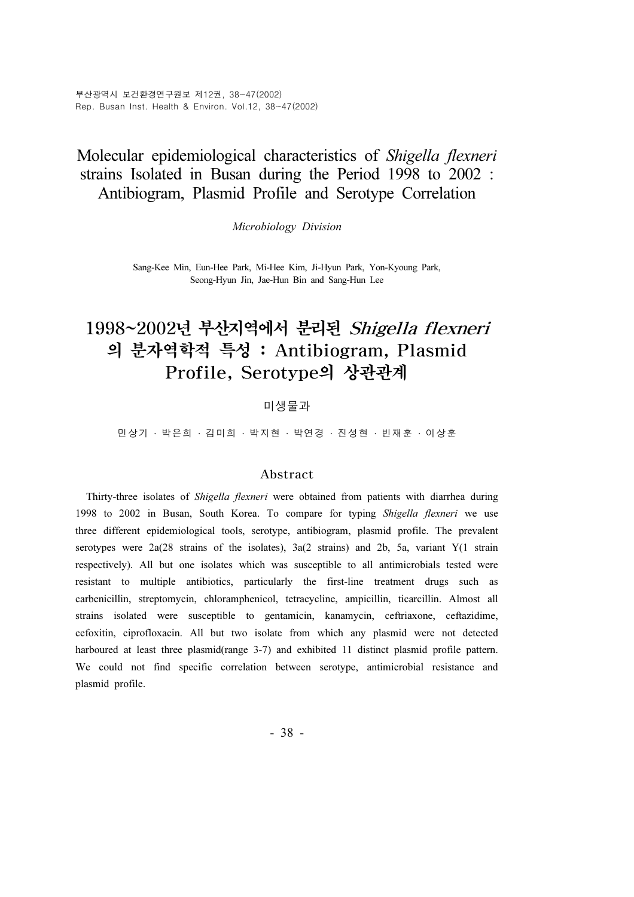부산광역시 보건환경연구원보 제12권, 38~47(2002) Rep. Busan Inst. Health & Environ. Vol.12, 38~47(2002)

# Molecular epidemiological characteristics of Shigella flexneri strains Isolated in Busan during the Period 1998 to 2002 : Antibiogram, Plasmid Profile and Serotype Correlation

Microbiology Division

Sang-Kee Min, Eun-Hee Park, Mi-Hee Kim, Ji-Hyun Park, Yon-Kyoung Park, Seong-Hyun Jin, Jae-Hun Bin and Sang-Hun Lee

# 1998~2002년 부산지역에서 분리된 Shigella flexneri 의 분자역학적 특성 : Antibiogram, Plasmid Profile, Serotype의 상관관계

### 미생물과

민상기 · 박은희 · 김미희 · 박지현 · 박연경 · 진성현 · 빈재훈 · 이상훈

#### Abstract

Thirty-three isolates of Shigella flexneri were obtained from patients with diarrhea during 1998 to 2002 in Busan, South Korea. To compare for typing Shigella flexneri we use three different epidemiological tools, serotype, antibiogram, plasmid profile. The prevalent serotypes were 2a(28 strains of the isolates), 3a(2 strains) and 2b, 5a, variant Y(1 strain respectively). All but one isolates which was susceptible to all antimicrobials tested were resistant to multiple antibiotics, particularly the first-line treatment drugs such as carbenicillin, streptomycin, chloramphenicol, tetracycline, ampicillin, ticarcillin. Almost all strains isolated were susceptible to gentamicin, kanamycin, ceftriaxone, ceftazidime, cefoxitin, ciprofloxacin. All but two isolate from which any plasmid were not detected harboured at least three plasmid(range 3-7) and exhibited 11 distinct plasmid profile pattern. We could not find specific correlation between serotype, antimicrobial resistance and plasmid profile.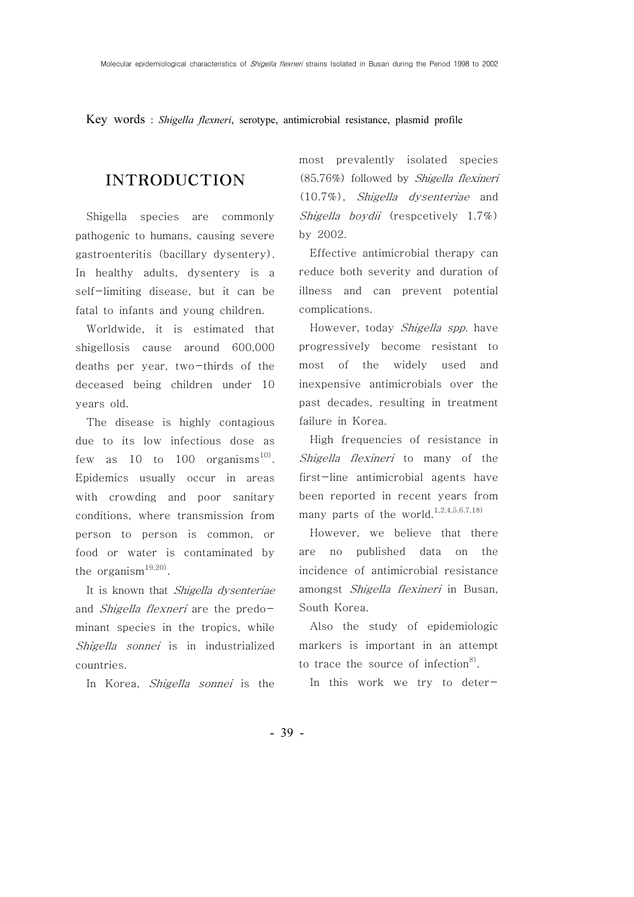Key words : Shigella flexneri, serotype, antimicrobial resistance, plasmid profile

## INTRODUCTION

Shigella species are commonly pathogenic to humans, causing severe gastroenteritis (bacillary dysentery). In healthy adults, dysentery is a self-limiting disease, but it can be fatal to infants and young children.

Worldwide, it is estimated that shigellosis cause around 600,000 deaths per year, two-thirds of the deceased being children under 10 years old.

The disease is highly contagious due to its low infectious dose as few as 10 to 100 organisms<sup>10)</sup>. Epidemics usually occur in areas with crowding and poor sanitary conditions, where transmission from person to person is common, or food or water is contaminated by the organism $19,20$ .

It is known that Shigella dysenteriae and Shigella flexneri are the predominant species in the tropics, while Shigella sonnei is in industrialized countries.

In Korea, *Shigella sonnei* is the

most prevalently isolated species (85.76%) followed by Shigella flexineri (10.7%), Shigella dysenteriae and Shigella boydii (respcetively 1.7%) by 2002.

Effective antimicrobial therapy can reduce both severity and duration of illness and can prevent potential complications.

However, today Shigella spp. have progressively become resistant to most of the widely used and inexpensive antimicrobials over the past decades, resulting in treatment failure in Korea.

High frequencies of resistance in Shigella flexineri to many of the first-line antimicrobial agents have been reported in recent years from many parts of the world.<sup>1,2,4,5,6,7,18)</sup>

However, we believe that there are no published data on the incidence of antimicrobial resistance amongst Shigella flexineri in Busan, South Korea.

Also the study of epidemiologic markers is important in an attempt to trace the source of infection $8$ .

In this work we try to deter-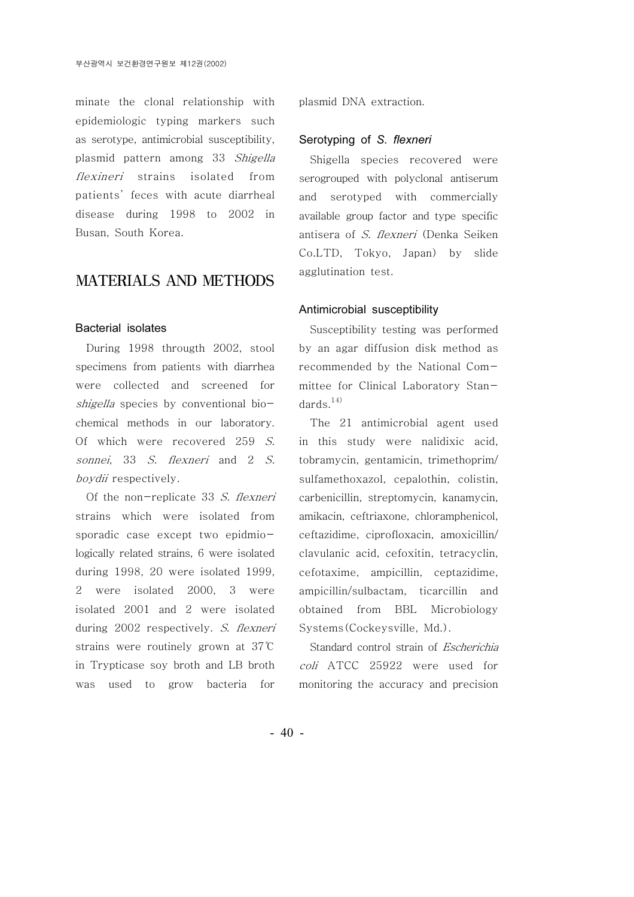minate the clonal relationship with epidemiologic typing markers such as serotype, antimicrobial susceptibility, plasmid pattern among 33 Shigella flexineri strains isolated from patients' feces with acute diarrheal disease during 1998 to 2002 in Busan, South Korea.

### MATERIALS AND METHODS

#### Bacterial isolates

During 1998 througth 2002, stool specimens from patients with diarrhea were collected and screened for shigella species by conventional biochemical methods in our laboratory. Of which were recovered 259 S. sonnei, 33 S. flexneri and 2 S. boydii respectively.

Of the non-replicate 33 S. flexneri strains which were isolated from sporadic case except two epidmiologically related strains, 6 were isolated during 1998, 20 were isolated 1999, 2 were isolated 2000, 3 were isolated 2001 and 2 were isolated during 2002 respectively. S. flexneri strains were routinely grown at 37℃ in Trypticase soy broth and LB broth was used to grow bacteria for

plasmid DNA extraction.

#### Serotyping of S. flexneri

Shigella species recovered were serogrouped with polyclonal antiserum and serotyped with commercially available group factor and type specific antisera of S. flexneri (Denka Seiken Co.LTD, Tokyo, Japan) by slide agglutination test.

#### Antimicrobial susceptibility

Susceptibility testing was performed by an agar diffusion disk method as recommended by the National Committee for Clinical Laboratory Standards.<sup>14)</sup>

The 21 antimicrobial agent used in this study were nalidixic acid, tobramycin, gentamicin, trimethoprim/ sulfamethoxazol, cepalothin, colistin, carbenicillin, streptomycin, kanamycin, amikacin, ceftriaxone, chloramphenicol, ceftazidime, ciprofloxacin, amoxicillin/ clavulanic acid, cefoxitin, tetracyclin, cefotaxime, ampicillin, ceptazidime, ampicillin/sulbactam, ticarcillin and obtained from BBL Microbiology Systems(Cockeysville, Md.).

Standard control strain of Escherichia coli ATCC 25922 were used for monitoring the accuracy and precision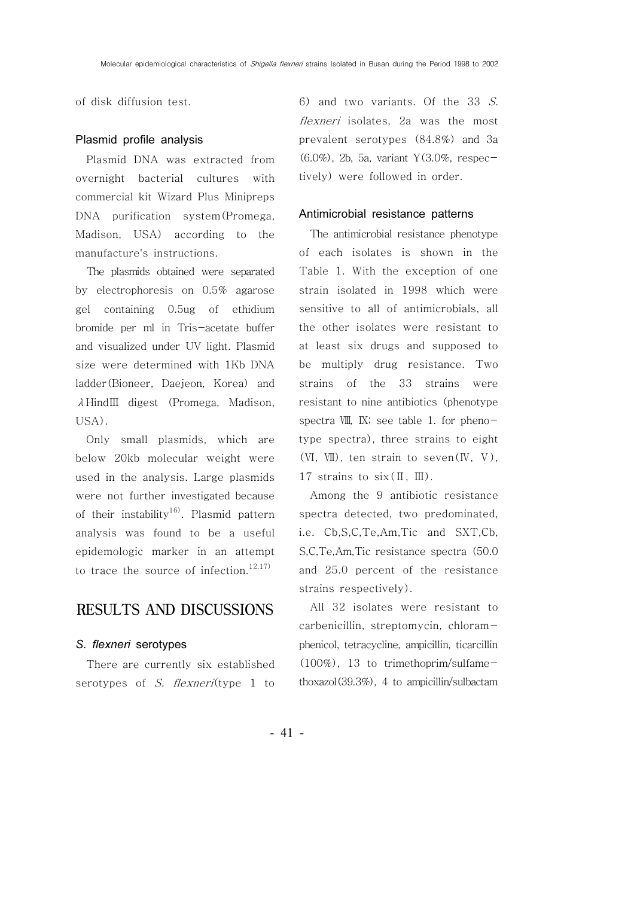of disk diffusion test.

#### Plasmid profile analysis

Plasmid DNA was extracted from overnight bacterial cultures with commercial kit Wizard Plus Minipreps DNA purification system(Promega, Madison, USA) according to the manufacture's instructions.

The plasmids obtained were separated by electrophoresis on 0.5% agarose gel containing 0.5ug of ethidium bromide per ml in Tris-acetate buffer and visualized under UV light. Plasmid size were determined with 1Kb DNA ladder(Bioneer, Daejeon, Korea) and λ HindIII digest (Promega, Madison, USA).

Only small plasmids, which are below 20kb molecular weight were used in the analysis. Large plasmids were not further investigated because of their instability<sup>16)</sup>. Plasmid pattern analysis was found to be a useful epidemologic marker in an attempt to trace the source of infection.<sup>12,17)</sup>

### RESULTS AND DISCUSSIONS

#### S. flexneri serotypes

There are currently six established serotypes of S. flexneri(type 1 to 6) and two variants. Of the 33 S. flexneri isolates, 2a was the most prevalent serotypes (84.8%) and 3a (6.0%), 2b, 5a, variant Y(3.0%, respectively) were followed in order.

#### Antimicrobial resistance patterns

The antimicrobial resistance phenotype of each isolates is shown in the Table 1. With the exception of one strain isolated in 1998 which were sensitive to all of antimicrobials, all the other isolates were resistant to at least six drugs and supposed to be multiply drug resistance. Two strains of the 33 strains were resistant to nine antibiotics (phenotype spectra  $VIII$ , IX; see table 1. for phenotype spectra), three strains to eight  $(VI, VII)$ , ten strain to seven $(V, V)$ , 17 strains to  $six(II, III)$ .

Among the 9 antibiotic resistance spectra detected, two predominated, i.e. Cb,S,C,Te,Am,Tic and SXT,Cb, S,C,Te,Am,Tic resistance spectra (50.0 and 25.0 percent of the resistance strains respectively).

All 32 isolates were resistant to carbenicillin, streptomycin, chloramphenicol, tetracycline, ampicillin, ticarcillin (100%), 13 to trimethoprim/sulfamethoxazol(39.3%), 4 to ampicillin/sulbactam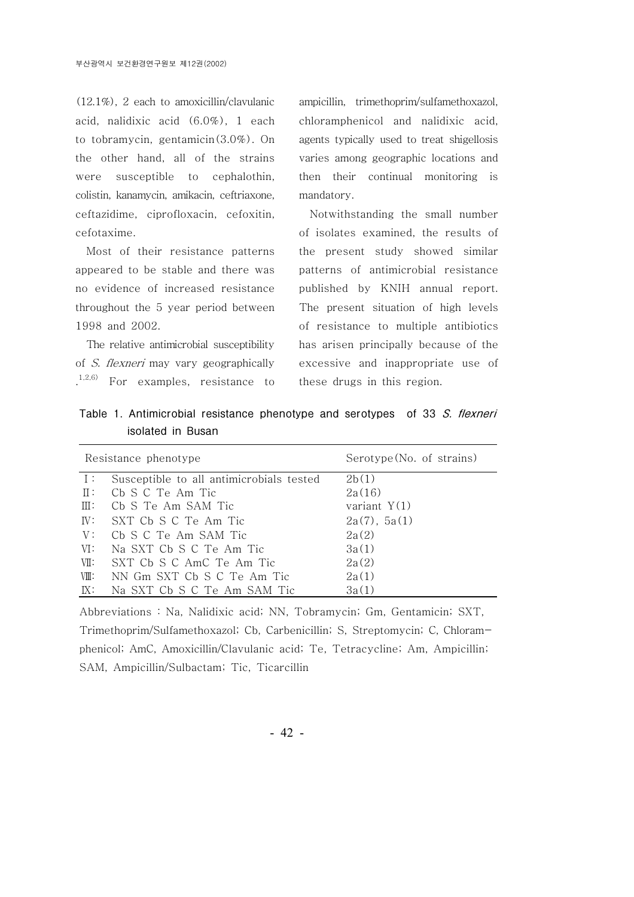(12.1%), 2 each to amoxicillin/clavulanic acid, nalidixic acid  $(6.0\%)$ , 1 each to tobramycin, gentamicin(3.0%). On the other hand, all of the strains were susceptible to cephalothin, colistin, kanamycin, amikacin, ceftriaxone, ceftazidime, ciprofloxacin, cefoxitin, cefotaxime.

Most of their resistance patterns appeared to be stable and there was no evidence of increased resistance throughout the 5 year period between 1998 and 2002.

The relative antimicrobial susceptibility of S. flexneri may vary geographically  $1,2,6)$ For examples, resistance to

ampicillin, trimethoprim/sulfamethoxazol, chloramphenicol and nalidixic acid, agents typically used to treat shigellosis varies among geographic locations and then their continual monitoring is mandatory.

Notwithstanding the small number of isolates examined, the results of the present study showed similar patterns of antimicrobial resistance published by KNIH annual report. The present situation of high levels of resistance to multiple antibiotics has arisen principally because of the excessive and inappropriate use of these drugs in this region.

Table 1. Antimicrobial resistance phenotype and serotypes of 33 S. flexneri isolated in Busan

|                | Resistance phenotype                     | Serotype (No. of strains) |  |  |  |  |
|----------------|------------------------------------------|---------------------------|--|--|--|--|
| $\top$ :       | Susceptible to all antimicrobials tested | 2b(1)                     |  |  |  |  |
|                | II: Cb S C Te Am Tic                     | 2a(16)                    |  |  |  |  |
| $\mathbb{H}$ : | - Cb S Te Am SAM Tic                     | variant $Y(1)$            |  |  |  |  |
|                | IV: SXT Cb S C Te Am Tic                 | 2a(7), 5a(1)              |  |  |  |  |
| V:             | Cb S C Te Am SAM Tic                     | 2a(2)                     |  |  |  |  |
| VI:            | Na SXT Cb S C Te Am Tic                  | 3a(1)                     |  |  |  |  |
| VII:           | SXT Cb S C AmC Te Am Tic                 | 2a(2)                     |  |  |  |  |
| VIII:          | NN Gm SXT Cb S C Te Am Tic               | 2a(1)                     |  |  |  |  |
| IX:            | Na SXT Cb S C Te Am SAM Tic              | 3a(1)                     |  |  |  |  |

Abbreviations : Na, Nalidixic acid; NN, Tobramycin; Gm, Gentamicin; SXT, Trimethoprim/Sulfamethoxazol; Cb, Carbenicillin; S, Streptomycin; C, Chloramphenicol; AmC, Amoxicillin/Clavulanic acid; Te, Tetracycline; Am, Ampicillin; SAM, Ampicillin/Sulbactam; Tic, Ticarcillin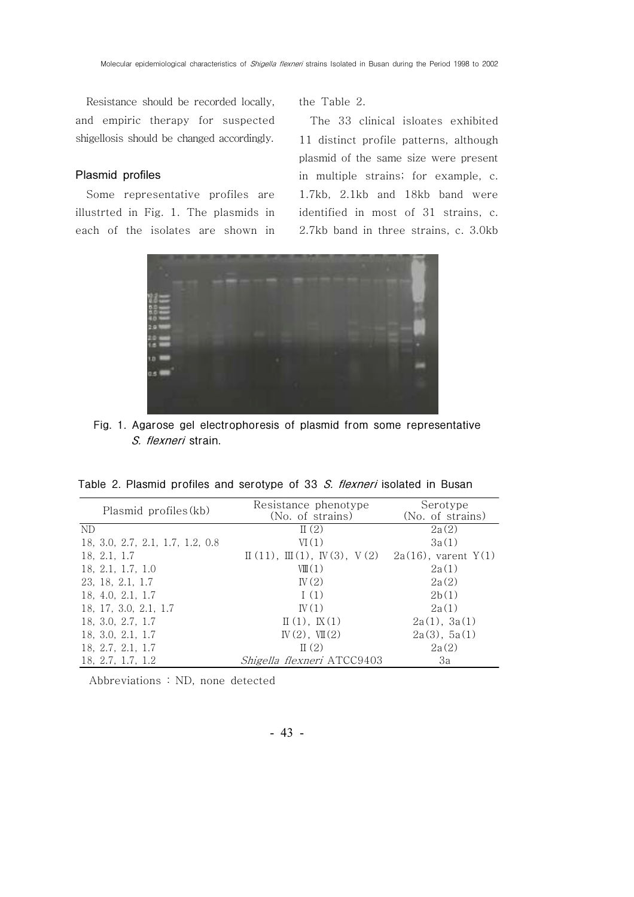Resistance should be recorded locally, and empiric therapy for suspected shigellosis should be changed accordingly.

#### Plasmid profiles

Some representative profiles are illustrted in Fig. 1. The plasmids in each of the isolates are shown in

the Table 2.

The 33 clinical isloates exhibited 11 distinct profile patterns, although plasmid of the same size were present in multiple strains; for example, c. 1.7kb, 2.1kb and 18kb band were identified in most of 31 strains, c. 2.7kb band in three strains, c. 3.0kb



Fig. 1. Agarose gel electrophoresis of plasmid from some representative S. flexneri strain.

|  |  |  |  | Table 2. Plasmid profiles and serotype of 33 S. flexneri isolated in Busan |  |  |  |  |  |  |  |
|--|--|--|--|----------------------------------------------------------------------------|--|--|--|--|--|--|--|
|--|--|--|--|----------------------------------------------------------------------------|--|--|--|--|--|--|--|

| Plasmid profiles (kb)            | Resistance phenotype<br>(No. of strains)                      | Serotype<br>(No. of strains) |  |  |
|----------------------------------|---------------------------------------------------------------|------------------------------|--|--|
| ND.                              | $\mathbb{I}(2)$                                               | 2a(2)                        |  |  |
| 18, 3.0, 2.7, 2.1, 1.7, 1.2, 0.8 | VI(1)                                                         | 3a(1)                        |  |  |
| 18, 2.1, 1.7                     | $\mathbb{I}(11), \mathbb{I}(1), \mathbb{V}(3), \mathbb{V}(2)$ | $2a(16)$ , varent $Y(1)$     |  |  |
| 18, 2.1, 1.7, 1.0                | $V\mathbb{I}(1)$                                              | 2a(1)                        |  |  |
| 23, 18, 2.1, 1.7                 | IV(2)                                                         | 2a(2)                        |  |  |
| 18, 4.0, 2.1, 1.7                | 1(1)                                                          | 2b(1)                        |  |  |
| 18, 17, 3.0, 2.1, 1.7            | IV(1)                                                         | 2a(1)                        |  |  |
| 18, 3.0, 2.7, 1.7                | $\mathbb{I}(1), \mathbb{K}(1)$                                | 2a(1), 3a(1)                 |  |  |
| 18, 3.0, 2.1, 1.7                | $W(2)$ , $W(2)$                                               | 2a(3), 5a(1)                 |  |  |
| 18, 2.7, 2.1, 1.7                | $\Pi(2)$                                                      | 2a(2)                        |  |  |
| 18, 2.7, 1.7, 1.2                | Shigella flexneri ATCC9403                                    | 3a                           |  |  |

Abbreviations : ND, none detected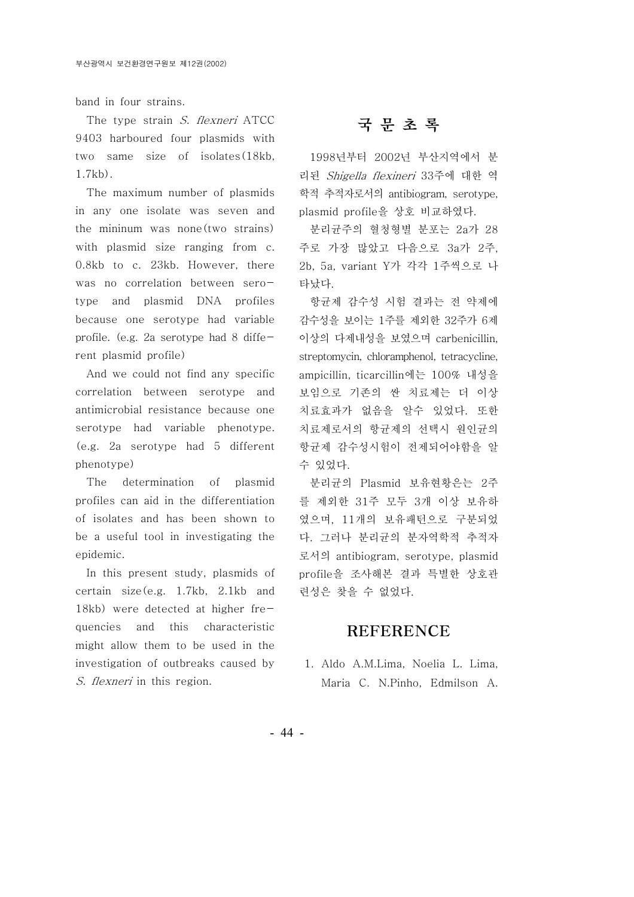band in four strains.

The type strain S. flexneri ATCC 9403 harboured four plasmids with two same size of isolates(18kb, 1.7kb).

The maximum number of plasmids in any one isolate was seven and the mininum was none(two strains) with plasmid size ranging from c. 0.8kb to c. 23kb. However, there was no correlation between serotype and plasmid DNA profiles because one serotype had variable profile. (e.g. 2a serotype had 8 different plasmid profile)

And we could not find any specific correlation between serotype and antimicrobial resistance because one serotype had variable phenotype. (e.g. 2a serotype had 5 different phenotype)

The determination of plasmid profiles can aid in the differentiation of isolates and has been shown to be a useful tool in investigating the epidemic.

In this present study, plasmids of certain size(e.g. 1.7kb, 2.1kb and 18kb) were detected at higher frequencies and this characteristic might allow them to be used in the investigation of outbreaks caused by S. flexneri in this region.

# 국문초록

1998년부터 2002년 부산지역에서 분 리된 Shigella flexineri 33주에 대한 역 학적 추적자로서의 antibiogram, serotype, plasmid profile을 상호 비교하였다.

분리규주의 혈청형별 분포는 2a가 28 주로 가장 많았고 다음으로 3a가 2주, 2b, 5a, variant Y가 각각 1주씩으로 나 타났다.

항균제 감수성 시험 결과는 전 약제에 감수성을 보이는 1주를 제외한 32주가 6제 이상의 다제내성을 보였으며 carbenicillin, streptomycin, chloramphenol, tetracycline, ampicillin, ticarcillin 100% 에는 내성을 보임으로 기존의 싼 치료제는 더 이상 치료효과가 없음을 알수 있었다. 또한 치료제로서의 항균제의 선택시 원인균의 항균제 감수성시험이 전제되어야함을 알 수 있었다.

분리균의 Plasmid 보유현황은는 2주 를 제외한 31주 모두 3개 이상 보유하 였으며, 11개의 보유패턴으로 구분되었 다. 그러나 분리균의 분자역학적 추적자 로서의 antibiogram, serotype, plasmid profile을 조사해본 결과 특별한 상호관 련성은 찾을 수 없었다.

### REFERENCE

1. Aldo A.M.Lima, Noelia L. Lima, Maria C. N.Pinho, Edmilson A.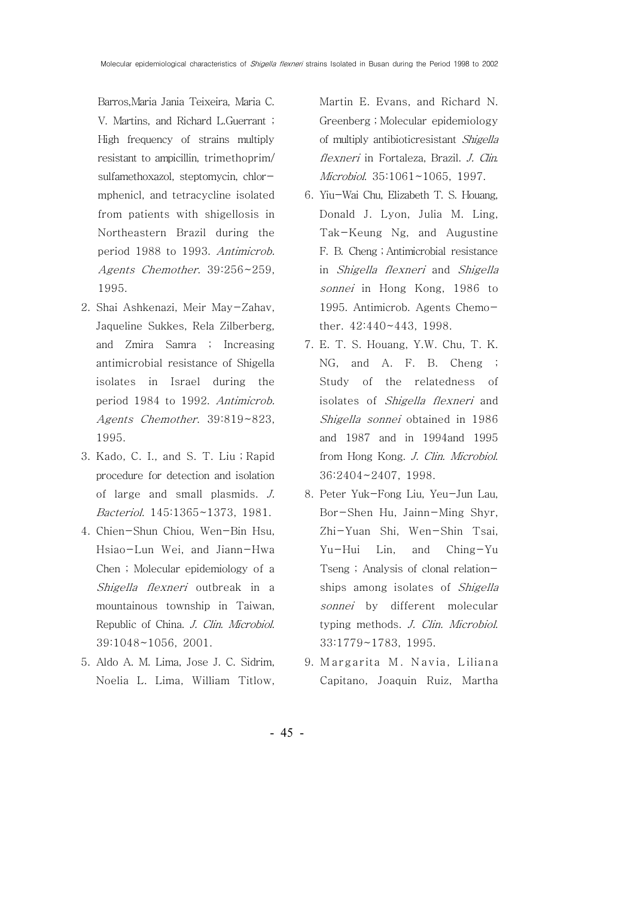Barros,Maria Jania Teixeira, Maria C. V. Martins, and Richard L.Guerrant ; High frequency of strains multiply resistant to ampicillin, trimethoprim/ sulfamethoxazol, steptomycin, chlormphenicl, and tetracycline isolated from patients with shigellosis in Northeastern Brazil during the period 1988 to 1993. Antimicrob. Agents Chemother. 39:256~259, 1995.

- 2. Shai Ashkenazi, Meir May-Zahav, Jaqueline Sukkes, Rela Zilberberg, and Zmira Samra ; Increasing antimicrobial resistance of Shigella isolates in Israel during the period 1984 to 1992. Antimicrob. Agents Chemother. 39:819~823, 1995.
- 3. Kado, C. I., and S. T. Liu ; Rapid procedure for detection and isolation of large and small plasmids. J. Bacteriol. 145:1365~1373, 1981.
- 4. Chien-Shun Chiou, Wen-Bin Hsu, Hsiao-Lun Wei, and Jiann-Hwa Chen ; Molecular epidemiology of a Shigella flexneri outbreak in a mountainous township in Taiwan, Republic of China. J. Clin. Microbiol. 39:1048~1056, 2001.
- 5. Aldo A. M. Lima, Jose J. C. Sidrim, Noelia L. Lima, William Titlow,

Martin E. Evans, and Richard N. Greenberg ; Molecular epidemiology of multiply antibioticresistant Shigella flexneri in Fortaleza, Brazil. J. Clin. Microbiol. 35:1061~1065, 1997.

- 6. Yiu-Wai Chu, Elizabeth T. S. Houang, Donald J. Lyon, Julia M. Ling, Tak-Keung Ng, and Augustine F. B. Cheng ; Antimicrobial resistance in Shigella flexneri and Shigella sonnei in Hong Kong, 1986 to 1995. Antimicrob. Agents Chemother. 42:440~443, 1998.
- 7. E. T. S. Houang, Y.W. Chu, T. K. NG, and A. F. B. Cheng ; Study of the relatedness of isolates of Shigella flexneri and Shigella sonnei obtained in 1986 and 1987 and in 1994and 1995 from Hong Kong. J. Clin. Microbiol. 36:2404~2407, 1998.
- 8. Peter Yuk-Fong Liu, Yeu-Jun Lau, Bor-Shen Hu, Jainn-Ming Shyr, Zhi-Yuan Shi, Wen-Shin Tsai, Yu-Hui Lin, and Ching-Yu Tseng ; Analysis of clonal relationships among isolates of Shigella sonnei by different molecular typing methods. J. Clin. Microbiol. 33:1779~1783, 1995.
- 9. Margarita M. Navia, Liliana Capitano, Joaquin Ruiz, Martha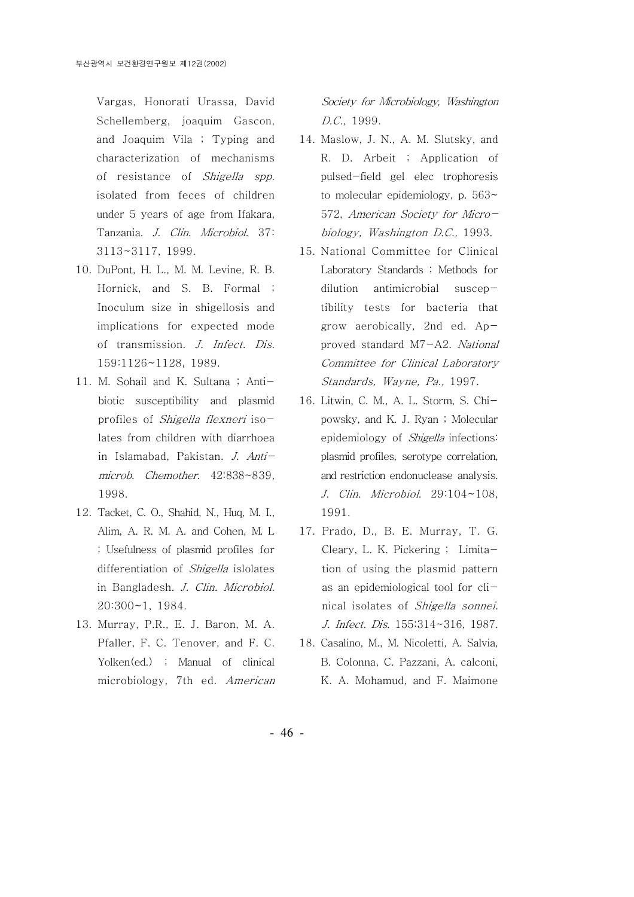Vargas, Honorati Urassa, David Schellemberg, joaquim Gascon, and Joaquim Vila ; Typing and characterization of mechanisms of resistance of Shigella spp. isolated from feces of children under 5 years of age from Ifakara, Tanzania. J. Clin. Microbiol. 37: 3113~3117, 1999.

- 1 0. DuPont, H. L., M. M. Levine, R. B. Hornick, and S. B. Formal ; Inoculum size in shigellosis and implications for expected mode of transmission. J. Infect. Dis. 159:1126~1128, 1989.
- 11. M. Sohail and K. Sultana; Antibiotic susceptibility and plasmid profiles of Shigella flexneri isolates from children with diarrhoea in Islamabad, Pakistan. J. Antimicrob. Chemother. 42:838~839, 1998.
- 1 2. Tacket, C. O., Shahid, N., Huq, M. I., Alim, A. R. M. A. and Cohen, M. L ; Usefulness of plasmid profiles for differentiation of *Shigella* islolates in Bangladesh. J. Clin. Microbiol. 20:300~1, 1984.
- 13. Murray, P.R., E. J. Baron, M. A. Pfaller, F. C. Tenover, and F. C. Yolken(ed.) ; Manual of clinical microbiology, 7th ed. American

Society for Microbiology, Washington D.C., 1999.

- 1 4. Maslow, J. N., A. M. Slutsky, and R. D. Arbeit ; Application of pulsed-field gel elec trophoresis to molecular epidemiology, p. 563~ 572, American Society for Microbiology, Washington D.C., 1993.
- 15. National Committee for Clinical Laboratory Standards ; Methods for dilution antimicrobial susceptibility tests for bacteria that grow aerobically, 2nd ed. Approved standard M7-A2. National Committee for Clinical Laboratory Standards, Wayne, Pa., 1997.
- 16. Litwin, C. M., A. L. Storm, S. Chipowsky, and K. J. Ryan ; Molecular epidemiology of Shigella infections: plasmid profiles, serotype correlation, and restriction endonuclease analysis. J. Clin. Microbiol. 29:104~108, 1991.
- 17. Prado, D., B. E. Murray, T. G. Cleary, L. K. Pickering ; Limitation of using the plasmid pattern as an epidemiological tool for clinical isolates of Shigella sonnei. J. Infect. Dis. 155:314~316, 1987.
- 1 8. Casalino, M., M. Nicoletti, A. Salvia, B. Colonna, C. Pazzani, A. calconi, K. A. Mohamud, and F. Maimone